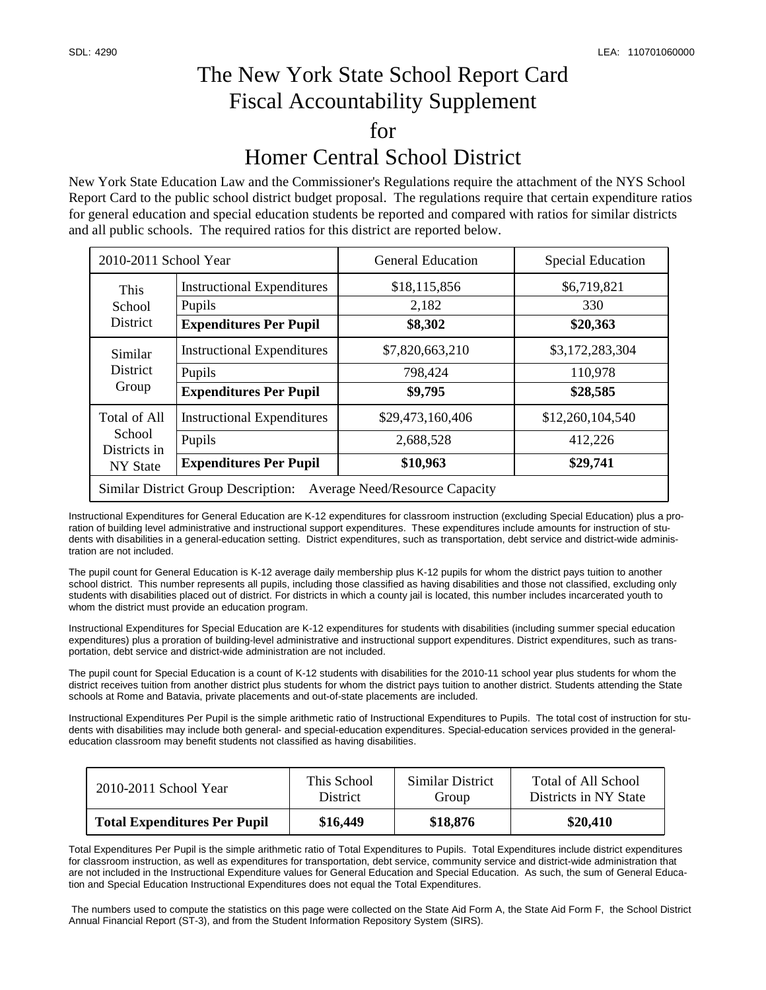## The New York State School Report Card Fiscal Accountability Supplement for Homer Central School District

New York State Education Law and the Commissioner's Regulations require the attachment of the NYS School Report Card to the public school district budget proposal. The regulations require that certain expenditure ratios for general education and special education students be reported and compared with ratios for similar districts and all public schools. The required ratios for this district are reported below.

| 2010-2011 School Year                                                               |                                                                              | <b>General Education</b>                  | <b>Special Education</b>                |  |  |  |
|-------------------------------------------------------------------------------------|------------------------------------------------------------------------------|-------------------------------------------|-----------------------------------------|--|--|--|
| This<br>School<br><b>District</b>                                                   | <b>Instructional Expenditures</b><br>Pupils<br><b>Expenditures Per Pupil</b> | \$18,115,856<br>2,182<br>\$8,302          | \$6,719,821<br>330<br>\$20,363          |  |  |  |
| Similar<br><b>District</b><br>Group                                                 | <b>Instructional Expenditures</b><br>Pupils<br><b>Expenditures Per Pupil</b> | \$7,820,663,210<br>798,424<br>\$9,795     | \$3,172,283,304<br>110,978<br>\$28,585  |  |  |  |
| Total of All<br>School<br>Districts in<br>NY State                                  | <b>Instructional Expenditures</b><br>Pupils<br><b>Expenditures Per Pupil</b> | \$29,473,160,406<br>2,688,528<br>\$10,963 | \$12,260,104,540<br>412,226<br>\$29,741 |  |  |  |
| <b>Similar District Group Description:</b><br><b>Average Need/Resource Capacity</b> |                                                                              |                                           |                                         |  |  |  |

Instructional Expenditures for General Education are K-12 expenditures for classroom instruction (excluding Special Education) plus a proration of building level administrative and instructional support expenditures. These expenditures include amounts for instruction of students with disabilities in a general-education setting. District expenditures, such as transportation, debt service and district-wide administration are not included.

The pupil count for General Education is K-12 average daily membership plus K-12 pupils for whom the district pays tuition to another school district. This number represents all pupils, including those classified as having disabilities and those not classified, excluding only students with disabilities placed out of district. For districts in which a county jail is located, this number includes incarcerated youth to whom the district must provide an education program.

Instructional Expenditures for Special Education are K-12 expenditures for students with disabilities (including summer special education expenditures) plus a proration of building-level administrative and instructional support expenditures. District expenditures, such as transportation, debt service and district-wide administration are not included.

The pupil count for Special Education is a count of K-12 students with disabilities for the 2010-11 school year plus students for whom the district receives tuition from another district plus students for whom the district pays tuition to another district. Students attending the State schools at Rome and Batavia, private placements and out-of-state placements are included.

Instructional Expenditures Per Pupil is the simple arithmetic ratio of Instructional Expenditures to Pupils. The total cost of instruction for students with disabilities may include both general- and special-education expenditures. Special-education services provided in the generaleducation classroom may benefit students not classified as having disabilities.

| 2010-2011 School Year               | This School     | Similar District | Total of All School   |
|-------------------------------------|-----------------|------------------|-----------------------|
|                                     | <b>District</b> | Group            | Districts in NY State |
| <b>Total Expenditures Per Pupil</b> | \$16,449        | \$18,876         | \$20,410              |

Total Expenditures Per Pupil is the simple arithmetic ratio of Total Expenditures to Pupils. Total Expenditures include district expenditures for classroom instruction, as well as expenditures for transportation, debt service, community service and district-wide administration that are not included in the Instructional Expenditure values for General Education and Special Education. As such, the sum of General Education and Special Education Instructional Expenditures does not equal the Total Expenditures.

 The numbers used to compute the statistics on this page were collected on the State Aid Form A, the State Aid Form F, the School District Annual Financial Report (ST-3), and from the Student Information Repository System (SIRS).